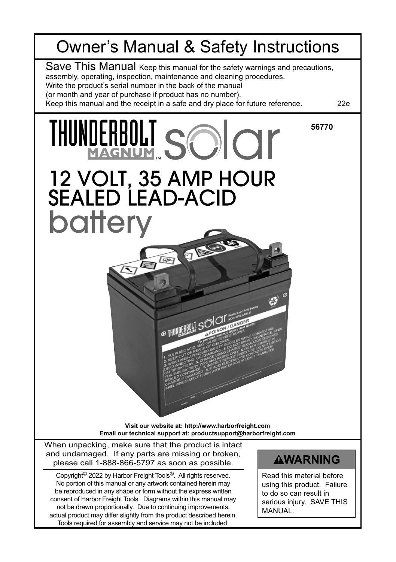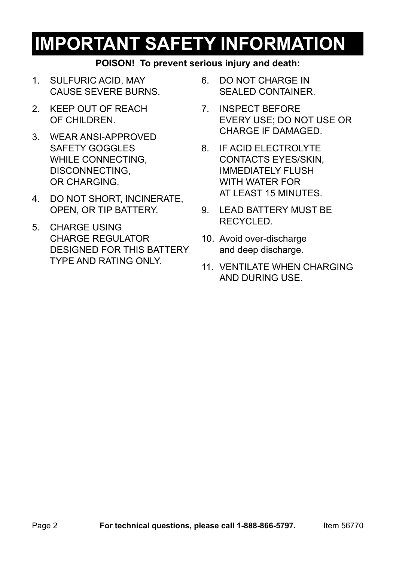# **IMPORTANT SAFETY INFORMATION**

### **POISON! To prevent serious injury and death:**

- 1. SULFURIC ACID, MAY CAUSE SEVERE BURNS.
- 2. KEEP OUT OF REACH OF CHILDREN.
- 3. WEAR ANSI-APPROVED SAFETY GOGGLES WHILE CONNECTING. DISCONNECTING, OR CHARGING.
- 4. DO NOT SHORT, INCINERATE, OPEN, OR TIP BATTERY.
- 5. CHARGE USING CHARGE REGULATOR DESIGNED FOR THIS BATTERY TYPE AND RATING ONLY.
- 6. DO NOT CHARGE IN SEALED CONTAINER.
- 7. INSPECT BEFORE EVERY USE; DO NOT USE OR CHARGE IF DAMAGED.
- 8. IF ACID ELECTROLYTE CONTACTS EYES/SKIN, IMMEDIATELY FLUSH WITH WATER FOR AT LEAST 15 MINUTES.
- 9. LEAD BATTERY MUST BE RECYCLED.
- 10. Avoid over-discharge and deep discharge.
- 11. VENTILATE WHEN CHARGING AND DURING USE.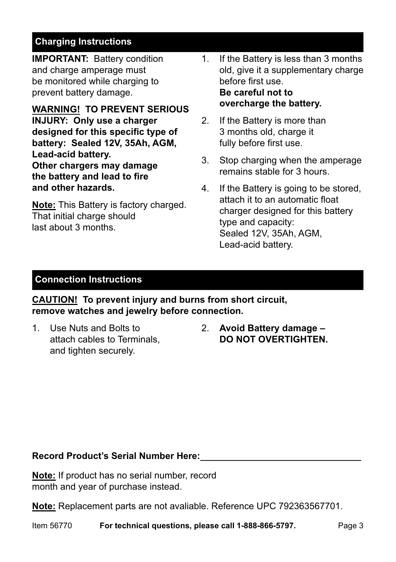## **Charging Instructions**

**IMPORTANT:** Battery condition and charge amperage must be monitored while charging to prevent battery damage.

**WARNING! TO PREVENT SERIOUS INJURY: Only use a charger designed for this specific type of battery: Sealed 12V, 35Ah, AGM, Lead-acid battery. Other chargers may damage the battery and lead to fire and other hazards.**

**Note:** This Battery is factory charged. That initial charge should last about 3 months.

- 1. If the Battery is less than 3 months old, give it a supplementary charge before first use. **Be careful not to overcharge the battery.**
- 2. If the Battery is more than 3 months old, charge it fully before first use.
- 3. Stop charging when the amperage remains stable for 3 hours.
- 4. If the Battery is going to be stored, attach it to an automatic float charger designed for this battery type and capacity: Sealed 12V, 35Ah, AGM, Lead-acid battery.

#### **Connection Instructions**

**CAUTION! To prevent injury and burns from short circuit, remove watches and jewelry before connection.**

- 1. Use Nuts and Bolts to attach cables to Terminals, and tighten securely.
- 2. **Avoid Battery damage DO NOT OVERTIGHTEN.**

#### **Record Product's Serial Number Here:**

**Note:** If product has no serial number, record month and year of purchase instead.

**Note:** Replacement parts are not avaliable. Reference UPC 792363567701.

Item 56770 **For technical questions, please call 1-888-866-5797.** Page 3